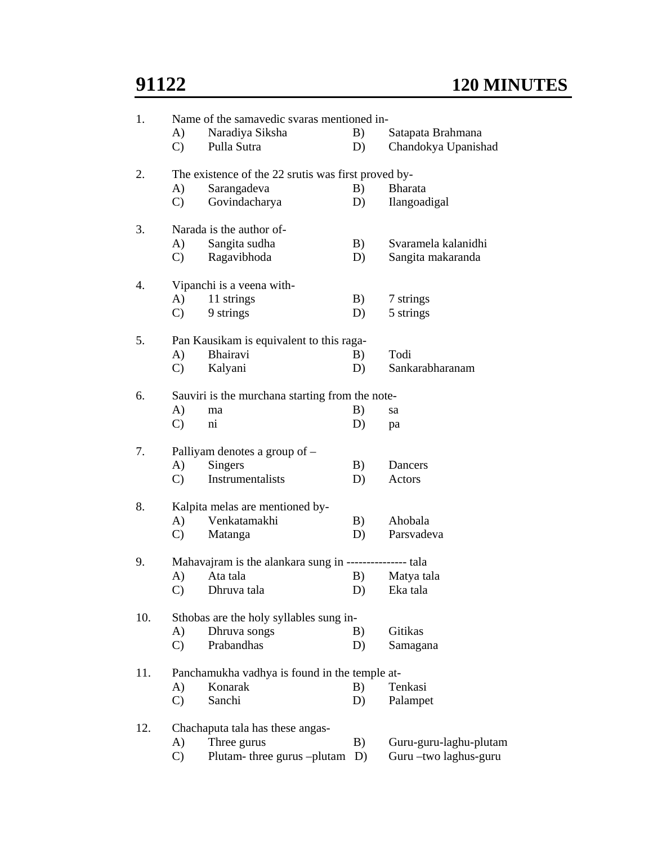|     |                     | Name of the samavedic svaras mentioned in-               |    |                                                |  |  |  |  |
|-----|---------------------|----------------------------------------------------------|----|------------------------------------------------|--|--|--|--|
|     | A)                  | Naradiya Siksha                                          | B) | Satapata Brahmana                              |  |  |  |  |
|     | $\mathbf{C}$        | Pulla Sutra                                              | D) | Chandokya Upanishad                            |  |  |  |  |
| 2.  |                     | The existence of the 22 srutis was first proved by-      |    |                                                |  |  |  |  |
|     | A)                  | Sarangadeva                                              | B) | <b>Bharata</b>                                 |  |  |  |  |
|     | $\mathcal{C}$       | Govindacharya                                            | D) | Ilangoadigal                                   |  |  |  |  |
| 3.  |                     | Narada is the author of-                                 |    |                                                |  |  |  |  |
|     | A)                  | Sangita sudha                                            | B) | Svaramela kalanidhi                            |  |  |  |  |
|     | $\mathbf{C}$        | Ragavibhoda                                              | D) | Sangita makaranda                              |  |  |  |  |
| 4.  |                     | Vipanchi is a veena with-                                |    |                                                |  |  |  |  |
|     | A)                  | 11 strings                                               | B) | 7 strings                                      |  |  |  |  |
|     | $\mathbf{C}$        | 9 strings                                                | D) | 5 strings                                      |  |  |  |  |
| 5.  |                     | Pan Kausikam is equivalent to this raga-                 |    |                                                |  |  |  |  |
|     | A)                  | Bhairavi                                                 | B) | Todi                                           |  |  |  |  |
|     | $\mathcal{C}$       | Kalyani                                                  | D) | Sankarabharanam                                |  |  |  |  |
| 6.  |                     | Sauviri is the murchana starting from the note-          |    |                                                |  |  |  |  |
|     | A)                  | ma                                                       | B) | sa                                             |  |  |  |  |
|     | $\mathcal{C}$       | $\overline{\text{ni}}$                                   | D) | pa                                             |  |  |  |  |
|     |                     |                                                          |    |                                                |  |  |  |  |
| 7.  |                     | Palliyam denotes a group of -                            |    |                                                |  |  |  |  |
|     | A)                  | <b>Singers</b>                                           | B) | Dancers                                        |  |  |  |  |
|     | $\mathbf{C}$        | Instrumentalists                                         | D) | Actors                                         |  |  |  |  |
| 8.  |                     | Kalpita melas are mentioned by-                          |    |                                                |  |  |  |  |
|     | A)                  | Venkatamakhi                                             | B) | Ahobala                                        |  |  |  |  |
|     | $\mathcal{C}$       | Matanga                                                  | D) | Parsvadeva                                     |  |  |  |  |
| 9.  |                     | Mahavajram is the alankara sung in ---------------- tala |    |                                                |  |  |  |  |
|     | A)                  | Ata tala                                                 | B) | Matya tala                                     |  |  |  |  |
|     | $\mathbf{C}$ )      | Dhruva tala                                              | D) | Eka tala                                       |  |  |  |  |
| 10. |                     | Sthobas are the holy syllables sung in-                  |    |                                                |  |  |  |  |
|     | A)                  | Dhruva songs                                             | B) | Gitikas                                        |  |  |  |  |
|     | $\mathcal{C}$       | Prabandhas                                               | D) | Samagana                                       |  |  |  |  |
| 11. |                     | Panchamukha vadhya is found in the temple at-            |    |                                                |  |  |  |  |
|     | A)                  | Konarak                                                  | B) | Tenkasi                                        |  |  |  |  |
|     | $\mathbf{C}$        | Sanchi                                                   | D) | Palampet                                       |  |  |  |  |
| 12. |                     | Chachaputa tala has these angas-                         |    |                                                |  |  |  |  |
|     | A)<br>$\mathcal{C}$ | Three gurus<br>Plutam-three gurus -plutam D)             | B) | Guru-guru-laghu-plutam<br>Guru-two laghus-guru |  |  |  |  |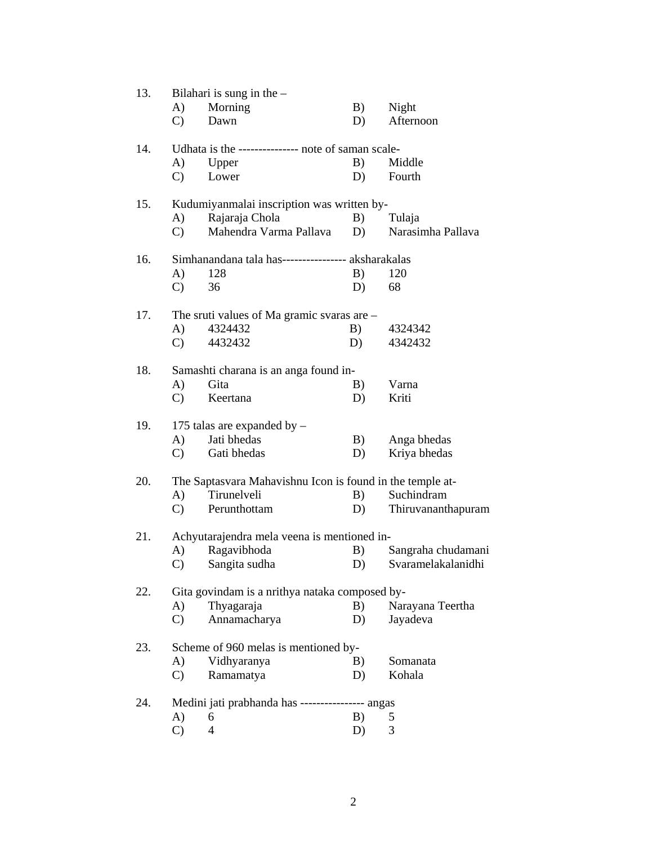| 13. | Bilahari is sung in the $-$                               |                                                    |    |                       |  |  |  |
|-----|-----------------------------------------------------------|----------------------------------------------------|----|-----------------------|--|--|--|
|     | (A)                                                       | Morning                                            | B) | Night                 |  |  |  |
|     | $\mathcal{C}$                                             | Dawn                                               | D) | Afternoon             |  |  |  |
| 14. |                                                           | Udhata is the -------------- note of saman scale-  |    |                       |  |  |  |
|     | A)                                                        | Upper                                              | B) | Middle                |  |  |  |
|     | $\mathbf{C}$                                              | Lower                                              | D) | Fourth                |  |  |  |
| 15. |                                                           | Kudumiyanmalai inscription was written by-         |    |                       |  |  |  |
|     | A)                                                        | Rajaraja Chola                                     | B) | Tulaja                |  |  |  |
|     | $\mathcal{C}$                                             | Mahendra Varma Pallava                             | D) | Narasimha Pallava     |  |  |  |
| 16. |                                                           | Simhanandana tala has---------------- aksharakalas |    |                       |  |  |  |
|     | A)                                                        | 128                                                | B) | 120                   |  |  |  |
|     | $\mathcal{C}$                                             | 36                                                 | D) | 68                    |  |  |  |
| 17. |                                                           | The sruti values of Ma gramic svaras are $-$       |    |                       |  |  |  |
|     | (A)                                                       | 4324432                                            |    | B) 4324342            |  |  |  |
|     | $\mathcal{C}$ )                                           | 4432432                                            | D) | 4342432               |  |  |  |
| 18. | Samashti charana is an anga found in-                     |                                                    |    |                       |  |  |  |
|     | A)                                                        | Gita                                               | B) | Varna                 |  |  |  |
|     | $\mathbf{C}$                                              | Keertana                                           | D) | Kriti                 |  |  |  |
| 19. |                                                           | 175 talas are expanded by -                        |    |                       |  |  |  |
|     | A)                                                        | Jati bhedas                                        | B) | Anga bhedas           |  |  |  |
|     | $\mathbf{C}$                                              | Gati bhedas                                        | D) | Kriya bhedas          |  |  |  |
| 20. | The Saptasvara Mahavishnu Icon is found in the temple at- |                                                    |    |                       |  |  |  |
|     | A)                                                        | Tirunelveli                                        | B) | Suchindram            |  |  |  |
|     | $\mathbf{C}$                                              | Perunthottam                                       |    | D) Thiruvananthapuram |  |  |  |
| 21. |                                                           | Achyutarajendra mela veena is mentioned in-        |    |                       |  |  |  |
|     | A)                                                        | Ragavibhoda                                        | B) | Sangraha chudamani    |  |  |  |
|     |                                                           | C) Sangita sudha                                   |    | D) Svaramelakalanidhi |  |  |  |
| 22. |                                                           | Gita govindam is a nrithya nataka composed by-     |    |                       |  |  |  |
|     | A)                                                        | Thyagaraja                                         | B) | Narayana Teertha      |  |  |  |
|     | $\mathcal{C}$                                             | Annamacharya                                       | D) | Jayadeva              |  |  |  |
| 23. |                                                           | Scheme of 960 melas is mentioned by-               |    |                       |  |  |  |
|     | A)                                                        | Vidhyaranya                                        | B) | Somanata              |  |  |  |
|     | $\mathcal{C}$                                             | Ramamatya                                          | D) | Kohala                |  |  |  |
| 24. |                                                           | Medini jati prabhanda has ----------------- angas  |    |                       |  |  |  |
|     | A)                                                        | 6                                                  | B) | 5                     |  |  |  |
|     | $\mathcal{C}$                                             | 4                                                  | D) | 3                     |  |  |  |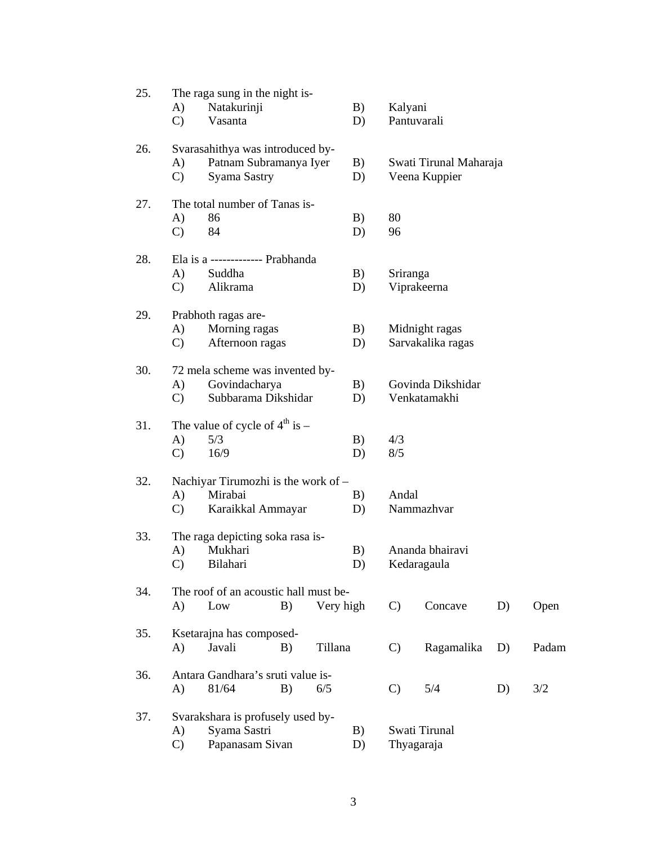| 25. |                                  | The raga sung in the night is-                      |    |           |    |               |                        |    |       |  |
|-----|----------------------------------|-----------------------------------------------------|----|-----------|----|---------------|------------------------|----|-------|--|
|     | A)                               | Natakurinji                                         |    |           | B) |               | Kalyani                |    |       |  |
|     | $\mathcal{C}$                    | Vasanta                                             |    |           | D) |               | Pantuvarali            |    |       |  |
| 26. | Svarasahithya was introduced by- |                                                     |    |           |    |               |                        |    |       |  |
|     | A)                               | Patnam Subramanya Iyer                              |    |           | B) |               | Swati Tirunal Maharaja |    |       |  |
|     | $\mathcal{C}$                    | Syama Sastry                                        |    |           | D) | Veena Kuppier |                        |    |       |  |
| 27. | The total number of Tanas is-    |                                                     |    |           |    |               |                        |    |       |  |
|     | A)                               | 86                                                  |    |           | B) | 80            |                        |    |       |  |
|     | $\mathcal{C}$                    | 84                                                  |    |           | D) | 96            |                        |    |       |  |
| 28. |                                  | Ela is a ------------- Prabhanda                    |    |           |    |               |                        |    |       |  |
|     | A)                               | Suddha                                              |    |           | B) | Sriranga      |                        |    |       |  |
|     | $\mathbf{C}$                     | Alikrama                                            |    |           | D) |               | Viprakeerna            |    |       |  |
| 29. |                                  | Prabhoth ragas are-                                 |    |           |    |               |                        |    |       |  |
|     | A)                               | Morning ragas                                       |    |           | B) |               | Midnight ragas         |    |       |  |
|     | $\mathcal{C}$                    | Afternoon ragas                                     |    |           | D) |               | Sarvakalika ragas      |    |       |  |
| 30. |                                  | 72 mela scheme was invented by-                     |    |           |    |               |                        |    |       |  |
|     | A)                               | Govindacharya                                       |    |           | B) |               | Govinda Dikshidar      |    |       |  |
|     | $\mathcal{C}$                    | Subbarama Dikshidar                                 |    |           | D) |               | Venkatamakhi           |    |       |  |
| 31. |                                  | The value of cycle of $4th$ is –                    |    |           |    |               |                        |    |       |  |
|     | A)                               | 5/3                                                 |    |           | B) | 4/3           |                        |    |       |  |
|     | $\mathbf{C}$                     | 16/9                                                |    |           | D) | 8/5           |                        |    |       |  |
| 32. |                                  | Nachiyar Tirumozhi is the work of -                 |    |           |    |               |                        |    |       |  |
|     | A)                               | Mirabai                                             |    |           | B) | Andal         |                        |    |       |  |
|     | $\mathbf{C}$                     | Karaikkal Ammayar                                   |    | D)        |    | Nammazhvar    |                        |    |       |  |
| 33. |                                  | The raga depicting soka rasa is-                    |    |           |    |               |                        |    |       |  |
|     | A)                               | Mukhari                                             |    |           | B) |               | Ananda bhairavi        |    |       |  |
|     | C)                               | Bilahari                                            |    |           | D) | Kedaragaula   |                        |    |       |  |
| 34. |                                  | The roof of an acoustic hall must be-               |    |           |    |               |                        |    |       |  |
|     | A)                               | Low                                                 | B) | Very high |    | $\mathbf{C}$  | Concave                | D) | Open  |  |
| 35. |                                  |                                                     |    |           |    |               |                        |    |       |  |
|     | A)                               | Ksetarajna has composed-<br>Javali<br>B)<br>Tillana |    |           |    | $\mathcal{C}$ | Ragamalika             | D) | Padam |  |
|     |                                  |                                                     |    |           |    |               |                        |    |       |  |
| 36. |                                  | Antara Gandhara's sruti value is-                   |    |           |    |               |                        |    |       |  |
|     | A)                               | 81/64                                               | B) | 6/5       |    | $\mathcal{C}$ | 5/4                    | D) | 3/2   |  |
| 37. |                                  | Svarakshara is profusely used by-                   |    |           |    |               |                        |    |       |  |
|     | A)                               | Syama Sastri                                        |    |           | B) | Swati Tirunal |                        |    |       |  |
|     | $\mathcal{C}$                    | Papanasam Sivan                                     |    |           | D) | Thyagaraja    |                        |    |       |  |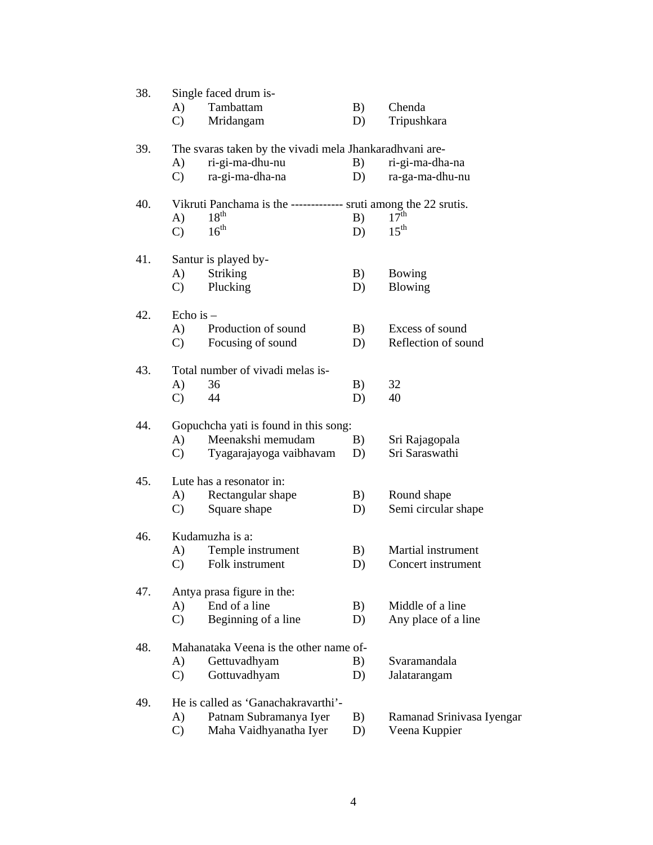| 38. | Single faced drum is-                                            |    |                           |  |  |  |  |
|-----|------------------------------------------------------------------|----|---------------------------|--|--|--|--|
|     | A)<br>Tambattam                                                  | B) | Chenda                    |  |  |  |  |
|     | $\mathcal{C}$<br>Mridangam                                       | D) | Tripushkara               |  |  |  |  |
| 39. | The svaras taken by the vivadi mela Jhankaradhvani are-          |    |                           |  |  |  |  |
|     | ri-gi-ma-dhu-nu<br>A)                                            | B) | ri-gi-ma-dha-na           |  |  |  |  |
|     | ra-gi-ma-dha-na<br>$\mathcal{C}$                                 | D) | ra-ga-ma-dhu-nu           |  |  |  |  |
| 40. | Vikruti Panchama is the ------------- sruti among the 22 srutis. |    |                           |  |  |  |  |
|     | $18^{th}$<br>$\bf{A}$                                            | B) | $17^{\text{th}}$          |  |  |  |  |
|     | 16 <sup>th</sup><br>$\mathcal{C}$                                | D) | $15^{\text{th}}$          |  |  |  |  |
| 41. | Santur is played by-                                             |    |                           |  |  |  |  |
|     | A)<br><b>Striking</b>                                            | B) | Bowing                    |  |  |  |  |
|     | Plucking<br>$\mathcal{C}$                                        | D) | <b>Blowing</b>            |  |  |  |  |
| 42. | Echo is $-$                                                      |    |                           |  |  |  |  |
|     | A)<br>Production of sound                                        | B) | Excess of sound           |  |  |  |  |
|     | Focusing of sound<br>$\mathbf{C}$                                | D) | Reflection of sound       |  |  |  |  |
| 43. | Total number of vivadi melas is-                                 |    |                           |  |  |  |  |
|     | A)<br>36                                                         | B) | 32                        |  |  |  |  |
|     | $\mathcal{C}$<br>44                                              | D) | 40                        |  |  |  |  |
| 44. | Gopuchcha yati is found in this song:                            |    |                           |  |  |  |  |
|     | Meenakshi memudam<br>A)                                          | B) | Sri Rajagopala            |  |  |  |  |
|     | $\mathcal{C}$<br>Tyagarajayoga vaibhavam                         | D) | Sri Saraswathi            |  |  |  |  |
| 45. | Lute has a resonator in:                                         |    |                           |  |  |  |  |
|     | Rectangular shape<br>A)                                          | B) | Round shape               |  |  |  |  |
|     | Square shape<br>$\mathcal{C}$                                    | D) | Semi circular shape       |  |  |  |  |
| 46. | Kudamuzha is a:                                                  |    |                           |  |  |  |  |
|     | Temple instrument<br>A)                                          | B) | Martial instrument        |  |  |  |  |
|     | C) Folk instrument                                               | D) | Concert instrument        |  |  |  |  |
| 47. | Antya prasa figure in the:                                       |    |                           |  |  |  |  |
|     | End of a line<br>A)                                              | B) | Middle of a line          |  |  |  |  |
|     | Beginning of a line<br>$\mathcal{C}$                             | D) | Any place of a line       |  |  |  |  |
| 48. | Mahanataka Veena is the other name of-                           |    |                           |  |  |  |  |
|     | Gettuvadhyam<br>A)                                               | B) | Svaramandala              |  |  |  |  |
|     | $\mathcal{C}$<br>Gottuvadhyam                                    | D) | Jalatarangam              |  |  |  |  |
| 49. | He is called as 'Ganachakravarthi'-                              |    |                           |  |  |  |  |
|     | A)<br>Patnam Subramanya Iyer                                     | B) | Ramanad Srinivasa Iyengar |  |  |  |  |
|     | $\mathcal{C}$<br>Maha Vaidhyanatha Iyer                          | D) | Veena Kuppier             |  |  |  |  |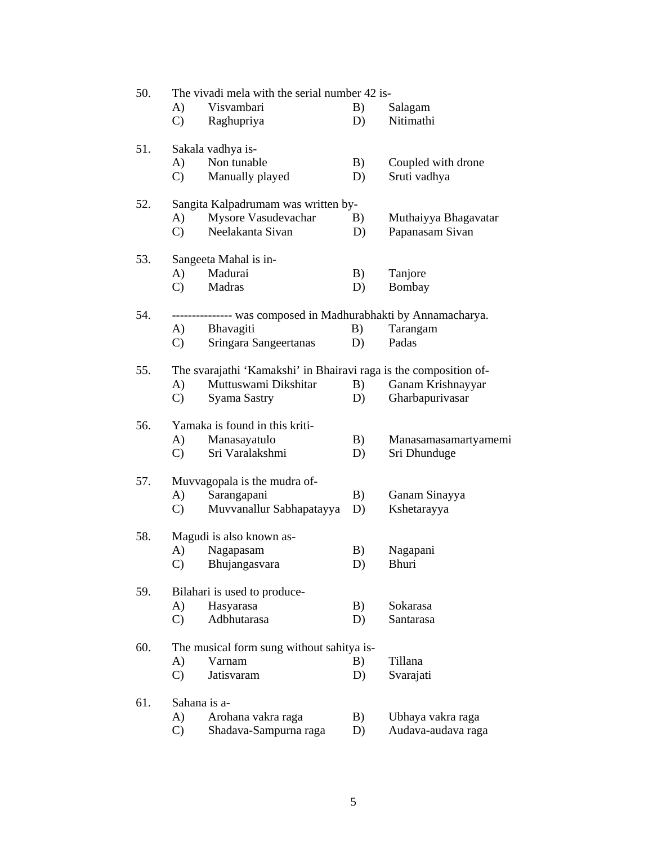| 50. | The vivadi mela with the serial number 42 is- |                                                                   |          |                      |  |  |  |
|-----|-----------------------------------------------|-------------------------------------------------------------------|----------|----------------------|--|--|--|
|     | A)                                            | Visvambari                                                        | B)       | Salagam              |  |  |  |
|     | $\mathcal{C}$                                 | Raghupriya                                                        | D)       | Nitimathi            |  |  |  |
| 51. |                                               | Sakala vadhya is-                                                 |          |                      |  |  |  |
|     | A)                                            | Non tunable                                                       | B)       | Coupled with drone   |  |  |  |
|     | $\mathbf{C}$                                  | Manually played                                                   | D)       | Sruti vadhya         |  |  |  |
|     |                                               |                                                                   |          |                      |  |  |  |
| 52. |                                               | Sangita Kalpadrumam was written by-                               |          |                      |  |  |  |
|     | A)                                            | Mysore Vasudevachar                                               | B)       | Muthaiyya Bhagavatar |  |  |  |
|     | $\mathcal{C}$                                 | Neelakanta Sivan                                                  | D)       | Papanasam Sivan      |  |  |  |
| 53. |                                               | Sangeeta Mahal is in-                                             |          |                      |  |  |  |
|     | A)                                            | Madurai                                                           | B)       | Tanjore              |  |  |  |
|     | $\mathbf{C}$                                  | Madras                                                            | D)       | Bombay               |  |  |  |
|     |                                               |                                                                   |          |                      |  |  |  |
| 54. |                                               | --------------- was composed in Madhurabhakti by Annamacharya.    |          |                      |  |  |  |
|     | (A)<br>$\mathbf{C}$                           | Bhavagiti<br>Sringara Sangeertanas                                | B)<br>D) | Tarangam<br>Padas    |  |  |  |
|     |                                               |                                                                   |          |                      |  |  |  |
| 55. |                                               | The svarajathi 'Kamakshi' in Bhairavi raga is the composition of- |          |                      |  |  |  |
|     | A)                                            | Muttuswami Dikshitar                                              | B)       | Ganam Krishnayyar    |  |  |  |
|     | $\mathcal{C}$                                 | Syama Sastry                                                      | D)       | Gharbapurivasar      |  |  |  |
| 56. |                                               | Yamaka is found in this kriti-                                    |          |                      |  |  |  |
|     | A)                                            | Manasayatulo                                                      | B)       | Manasamasamartyamemi |  |  |  |
|     | $\mathbf{C}$                                  | Sri Varalakshmi                                                   | D)       | Sri Dhunduge         |  |  |  |
| 57. |                                               | Muvvagopala is the mudra of-                                      |          |                      |  |  |  |
|     | A)                                            | Sarangapani                                                       | B)       | Ganam Sinayya        |  |  |  |
|     | $\mathcal{C}$ )                               | Muvvanallur Sabhapatayya                                          | D)       | Kshetarayya          |  |  |  |
|     |                                               |                                                                   |          |                      |  |  |  |
| 58. |                                               | Magudi is also known as-                                          |          |                      |  |  |  |
|     | A)                                            | Nagapasam                                                         | B)       | Nagapani             |  |  |  |
|     |                                               | C) Bhujangasvara                                                  | D)       | Bhuri                |  |  |  |
| 59. |                                               | Bilahari is used to produce-                                      |          |                      |  |  |  |
|     | A)                                            | Hasyarasa                                                         | B)       | Sokarasa             |  |  |  |
|     | $\mathcal{C}$                                 | Adbhutarasa                                                       | D)       | Santarasa            |  |  |  |
| 60. |                                               | The musical form sung without sahitya is-                         |          |                      |  |  |  |
|     | A)                                            | Varnam                                                            | B)       | Tillana              |  |  |  |
|     | $\mathbf{C}$                                  | Jatisvaram                                                        | D)       | Svarajati            |  |  |  |
| 61. | Sahana is a-                                  |                                                                   |          |                      |  |  |  |
|     | A)                                            | Arohana vakra raga                                                | B)       | Ubhaya vakra raga    |  |  |  |
|     | $\mathcal{C}$                                 | Shadava-Sampurna raga                                             | D)       | Audava-audava raga   |  |  |  |
|     |                                               |                                                                   |          |                      |  |  |  |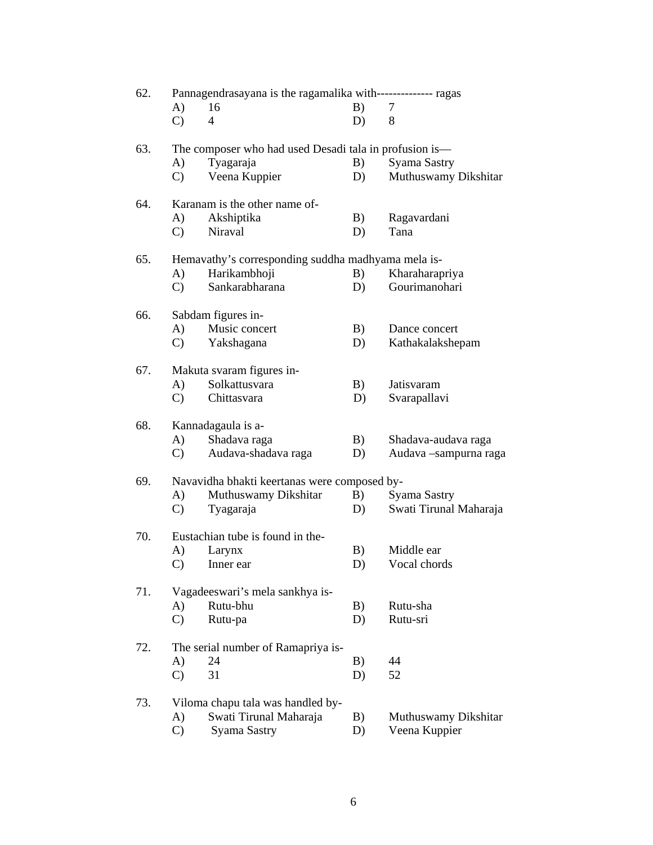| 62. | Pannagendrasayana is the ragamalika with-------------- ragas |                                                    |    |                        |  |  |  |  |
|-----|--------------------------------------------------------------|----------------------------------------------------|----|------------------------|--|--|--|--|
|     | A)                                                           | 16                                                 | B) | 7                      |  |  |  |  |
|     | $\mathbf{C}$                                                 | $\overline{4}$                                     | D) | 8                      |  |  |  |  |
| 63. | The composer who had used Desadi tala in profusion is-       |                                                    |    |                        |  |  |  |  |
|     | A)                                                           | Tyagaraja                                          | B) | <b>Syama Sastry</b>    |  |  |  |  |
|     | $\mathbf{C}$                                                 | Veena Kuppier                                      | D) | Muthuswamy Dikshitar   |  |  |  |  |
| 64. | Karanam is the other name of-                                |                                                    |    |                        |  |  |  |  |
|     | A)                                                           | Akshiptika                                         | B) | Ragavardani            |  |  |  |  |
|     | $\mathbf{C}$                                                 | Niraval                                            | D) | Tana                   |  |  |  |  |
| 65. |                                                              | Hemavathy's corresponding suddha madhyama mela is- |    |                        |  |  |  |  |
|     | A)                                                           | Harikambhoji                                       | B) | Kharaharapriya         |  |  |  |  |
|     | $\mathbf{C}$                                                 | Sankarabharana                                     | D) | Gourimanohari          |  |  |  |  |
| 66. |                                                              | Sabdam figures in-                                 |    |                        |  |  |  |  |
|     | A)                                                           | Music concert                                      | B) | Dance concert          |  |  |  |  |
|     | $\mathcal{C}$ )                                              | Yakshagana                                         | D) | Kathakalakshepam       |  |  |  |  |
| 67. |                                                              | Makuta svaram figures in-                          |    |                        |  |  |  |  |
|     | A)                                                           | Solkattusvara                                      | B) | Jatisvaram             |  |  |  |  |
|     | $\mathbf{C}$                                                 | Chittasvara                                        | D) | Svarapallavi           |  |  |  |  |
| 68. |                                                              | Kannadagaula is a-                                 |    |                        |  |  |  |  |
|     | A)                                                           | Shadava raga                                       | B) | Shadava-audava raga    |  |  |  |  |
|     | $\mathcal{C}$ )                                              | Audava-shadava raga                                | D) | Audava -sampurna raga  |  |  |  |  |
| 69. |                                                              | Navavidha bhakti keertanas were composed by-       |    |                        |  |  |  |  |
|     | A)                                                           | Muthuswamy Dikshitar                               | B) | Syama Sastry           |  |  |  |  |
|     | $\mathbf{C}$                                                 | Tyagaraja                                          | D) | Swati Tirunal Maharaja |  |  |  |  |
| 70. |                                                              | Eustachian tube is found in the-                   |    |                        |  |  |  |  |
|     | A)                                                           | Larynx                                             | B) | Middle ear             |  |  |  |  |
|     | $\mathcal{C}$ )                                              | Inner ear                                          | D) | Vocal chords           |  |  |  |  |
| 71. |                                                              | Vagadeeswari's mela sankhya is-                    |    |                        |  |  |  |  |
|     | A)                                                           | Rutu-bhu                                           | B) | Rutu-sha               |  |  |  |  |
|     | $\mathcal{C}$                                                | Rutu-pa                                            | D) | Rutu-sri               |  |  |  |  |
| 72. |                                                              | The serial number of Ramapriya is-                 |    |                        |  |  |  |  |
|     | A)                                                           | 24                                                 | B) | 44                     |  |  |  |  |
|     | $\mathcal{C}$                                                | 31                                                 | D) | 52                     |  |  |  |  |
| 73. |                                                              | Viloma chapu tala was handled by-                  |    |                        |  |  |  |  |
|     | A)                                                           | Swati Tirunal Maharaja                             | B) | Muthuswamy Dikshitar   |  |  |  |  |
|     | $\mathcal{C}$                                                | Syama Sastry                                       | D) | Veena Kuppier          |  |  |  |  |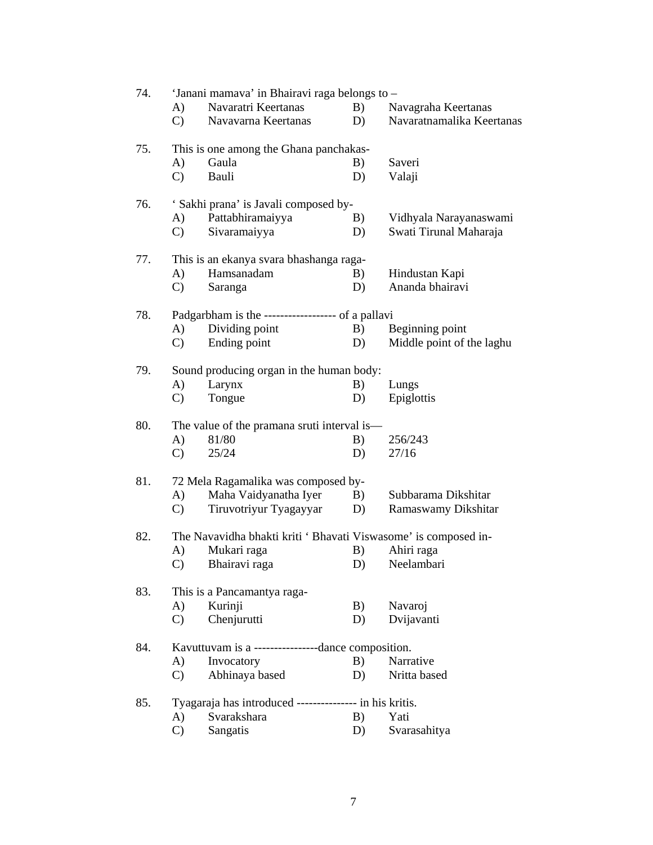| 74. | 'Janani mamava' in Bhairavi raga belongs to -                   |    |                           |  |  |  |  |
|-----|-----------------------------------------------------------------|----|---------------------------|--|--|--|--|
|     | Navaratri Keertanas<br>A)                                       | B) | Navagraha Keertanas       |  |  |  |  |
|     | $\mathbf{C}$<br>Navavarna Keertanas                             | D) | Navaratnamalika Keertanas |  |  |  |  |
| 75. | This is one among the Ghana panchakas-                          |    |                           |  |  |  |  |
|     | Gaula<br>A)                                                     | B) | Saveri                    |  |  |  |  |
|     | $\mathbf{C}$<br>Bauli                                           | D) | Valaji                    |  |  |  |  |
| 76. | ' Sakhi prana' is Javali composed by-                           |    |                           |  |  |  |  |
|     | Pattabhiramaiyya<br>A)                                          | B) | Vidhyala Narayanaswami    |  |  |  |  |
|     | $\mathcal{C}$<br>Sivaramaiyya                                   | D) | Swati Tirunal Maharaja    |  |  |  |  |
| 77. | This is an ekanya svara bhashanga raga-                         |    |                           |  |  |  |  |
|     | Hamsanadam<br>A)                                                | B) | Hindustan Kapi            |  |  |  |  |
|     | $\mathbf{C}$<br>Saranga                                         | D) | Ananda bhairavi           |  |  |  |  |
| 78. | Padgarbham is the ------------------- of a pallavi              |    |                           |  |  |  |  |
|     | Dividing point<br>A)                                            | B) | Beginning point           |  |  |  |  |
|     | Ending point<br>C)                                              | D) | Middle point of the laghu |  |  |  |  |
| 79. | Sound producing organ in the human body:                        |    |                           |  |  |  |  |
|     | Larynx<br>A)                                                    | B) | Lungs                     |  |  |  |  |
|     | $\mathcal{C}$<br>Tongue                                         | D) | Epiglottis                |  |  |  |  |
| 80. | The value of the pramana sruti interval is—                     |    |                           |  |  |  |  |
|     | 81/80<br>A)                                                     | B) | 256/243                   |  |  |  |  |
|     | $\mathbf{C}$<br>25/24                                           | D) | 27/16                     |  |  |  |  |
| 81. | 72 Mela Ragamalika was composed by-                             |    |                           |  |  |  |  |
|     | Maha Vaidyanatha Iyer<br>A)                                     | B) | Subbarama Dikshitar       |  |  |  |  |
|     | Tiruvotriyur Tyagayyar<br>C)                                    | D) | Ramaswamy Dikshitar       |  |  |  |  |
| 82. | The Navavidha bhakti kriti ' Bhavati Viswasome' is composed in- |    |                           |  |  |  |  |
|     | Mukari raga<br>A)                                               | B) | Ahiri raga                |  |  |  |  |
|     | C) Bhairavi raga                                                | D) | Neelambari                |  |  |  |  |
| 83. | This is a Pancamantya raga-                                     |    |                           |  |  |  |  |
|     | Kurinji<br>A)                                                   | B) | Navaroj                   |  |  |  |  |
|     | $\mathcal{C}$<br>Chenjurutti                                    | D) | Dvijavanti                |  |  |  |  |
| 84. | Kavuttuvam is a -----------------dance composition.             |    |                           |  |  |  |  |
|     | Invocatory<br>A)                                                | B) | Narrative                 |  |  |  |  |
|     | Abhinaya based<br>$\mathbf{C}$                                  | D) | Nritta based              |  |  |  |  |
| 85. | Tyagaraja has introduced --------------- in his kritis.         |    |                           |  |  |  |  |
|     | Svarakshara<br>A)                                               | B) | Yati                      |  |  |  |  |
|     | $\mathcal{C}$<br>Sangatis                                       | D) | Svarasahitya              |  |  |  |  |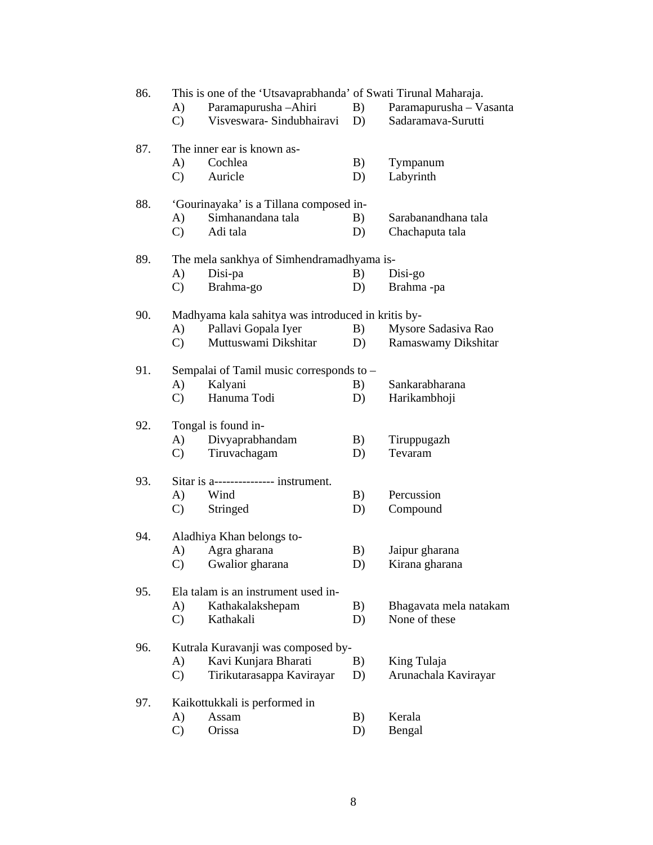| 86. | This is one of the 'Utsavaprabhanda' of Swati Tirunal Maharaja. |                                                    |    |                         |  |  |
|-----|-----------------------------------------------------------------|----------------------------------------------------|----|-------------------------|--|--|
|     | A)                                                              | Paramapurusha - Ahiri                              | B) | Paramapurusha - Vasanta |  |  |
|     | $\mathbf{C}$                                                    | Visveswara-Sindubhairavi                           | D) | Sadaramava-Surutti      |  |  |
| 87. |                                                                 | The inner ear is known as-                         |    |                         |  |  |
|     | A)                                                              | Cochlea                                            | B) | Tympanum                |  |  |
|     | $\mathcal{C}$                                                   | Auricle                                            | D) | Labyrinth               |  |  |
| 88. |                                                                 | 'Gourinayaka' is a Tillana composed in-            |    |                         |  |  |
|     | A)                                                              | Simhanandana tala                                  | B) | Sarabanandhana tala     |  |  |
|     | $\mathcal{C}$                                                   | Adi tala                                           | D) | Chachaputa tala         |  |  |
| 89. |                                                                 | The mela sankhya of Simhendramadhyama is-          |    |                         |  |  |
|     | A)                                                              | Disi-pa                                            | B) | Disi-go                 |  |  |
|     | $\mathcal{C}$                                                   | Brahma-go                                          | D) | Brahma-pa               |  |  |
| 90. |                                                                 | Madhyama kala sahitya was introduced in kritis by- |    |                         |  |  |
|     | A)                                                              | Pallavi Gopala Iyer                                | B) | Mysore Sadasiva Rao     |  |  |
|     | $\mathcal{C}$                                                   | Muttuswami Dikshitar                               | D) | Ramaswamy Dikshitar     |  |  |
| 91. |                                                                 | Sempalai of Tamil music corresponds to -           |    |                         |  |  |
|     | A)                                                              | Kalyani                                            | B) | Sankarabharana          |  |  |
|     | $\mathcal{C}$                                                   | Hanuma Todi                                        | D) | Harikambhoji            |  |  |
| 92. |                                                                 | Tongal is found in-                                |    |                         |  |  |
|     | A)                                                              | Divyaprabhandam                                    | B) | Tiruppugazh             |  |  |
|     | $\mathcal{C}$                                                   | Tiruvachagam                                       | D) | Tevaram                 |  |  |
| 93. |                                                                 | Sitar is a--------------- instrument.              |    |                         |  |  |
|     | A)                                                              | Wind                                               | B) | Percussion              |  |  |
|     | $\mathbf{C}$                                                    | Stringed                                           | D) | Compound                |  |  |
| 94. |                                                                 | Aladhiya Khan belongs to-                          |    |                         |  |  |
|     | A)                                                              | Agra gharana                                       | B) | Jaipur gharana          |  |  |
|     |                                                                 | C) Gwalior gharana                                 | D) | Kirana gharana          |  |  |
| 95. |                                                                 | Ela talam is an instrument used in-                |    |                         |  |  |
|     | A)                                                              | Kathakalakshepam                                   | B) | Bhagavata mela natakam  |  |  |
|     | $\mathcal{C}$                                                   | Kathakali                                          | D) | None of these           |  |  |
| 96. |                                                                 | Kutrala Kuravanji was composed by-                 |    |                         |  |  |
|     | A)                                                              | Kavi Kunjara Bharati                               | B) | King Tulaja             |  |  |
|     | $\mathcal{C}$                                                   | Tirikutarasappa Kavirayar                          | D) | Arunachala Kavirayar    |  |  |
| 97. |                                                                 | Kaikottukkali is performed in                      |    |                         |  |  |
|     | A)                                                              | Assam                                              | B) | Kerala                  |  |  |
|     | $\mathcal{C}$                                                   | Orissa                                             | D) | Bengal                  |  |  |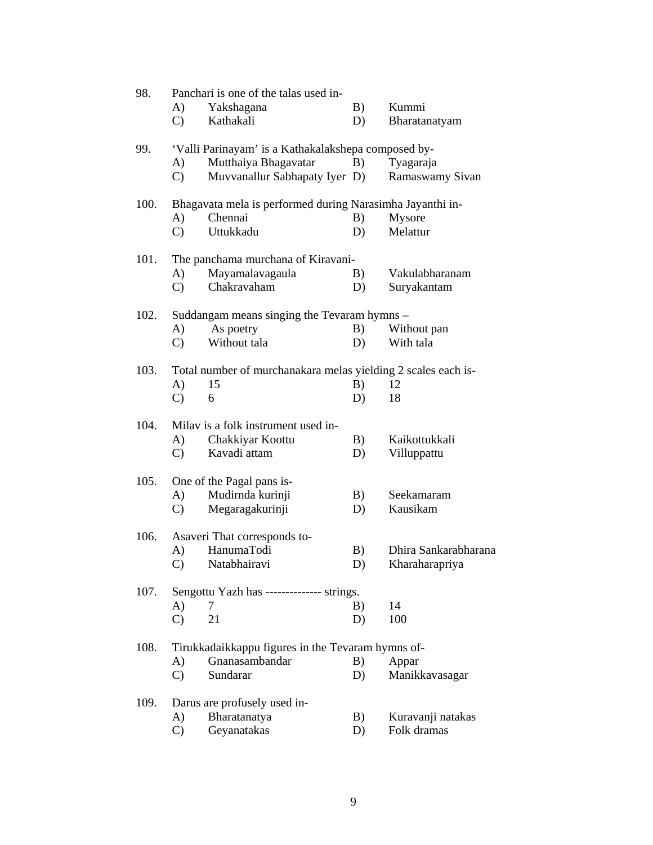| 98.  | Panchari is one of the talas used in-             |                                                               |    |                      |  |  |  |
|------|---------------------------------------------------|---------------------------------------------------------------|----|----------------------|--|--|--|
|      | A)                                                | Yakshagana                                                    | B) | Kummi                |  |  |  |
|      | $\mathbf{C}$                                      | Kathakali                                                     | D) | Bharatanatyam        |  |  |  |
| 99.  |                                                   | 'Valli Parinayam' is a Kathakalakshepa composed by-           |    |                      |  |  |  |
|      | A)                                                | Mutthaiya Bhagavatar                                          | B) | Tyagaraja            |  |  |  |
|      | $\mathcal{C}$                                     | Muvvanallur Sabhapaty Iyer D)                                 |    | Ramaswamy Sivan      |  |  |  |
| 100. |                                                   | Bhagavata mela is performed during Narasimha Jayanthi in-     |    |                      |  |  |  |
|      | A)                                                | Chennai                                                       | B) | Mysore               |  |  |  |
|      | $\mathcal{C}$                                     | Uttukkadu                                                     | D) | Melattur             |  |  |  |
| 101. |                                                   | The panchama murchana of Kiravani-                            |    |                      |  |  |  |
|      | A)                                                | Mayamalavagaula                                               | B) | Vakulabharanam       |  |  |  |
|      | $\mathbf{C}$                                      | Chakravaham                                                   | D) | Suryakantam          |  |  |  |
| 102. |                                                   | Suddangam means singing the Tevaram hymns –                   |    |                      |  |  |  |
|      | A)                                                | As poetry                                                     | B) | Without pan          |  |  |  |
|      | $\mathbf{C}$                                      | Without tala                                                  | D) | With tala            |  |  |  |
| 103. |                                                   | Total number of murchanakara melas yielding 2 scales each is- |    |                      |  |  |  |
|      | A)                                                | 15                                                            | B) | 12                   |  |  |  |
|      | $\mathcal{C}$                                     | 6                                                             | D) | 18                   |  |  |  |
| 104. |                                                   | Milav is a folk instrument used in-                           |    |                      |  |  |  |
|      | A)                                                | Chakkiyar Koottu                                              | B) | Kaikottukkali        |  |  |  |
|      | $\mathbf{C}$                                      | Kavadi attam                                                  | D) | Villuppattu          |  |  |  |
| 105. |                                                   | One of the Pagal pans is-                                     |    |                      |  |  |  |
|      | A)                                                | Mudirnda kurinji                                              | B) | Seekamaram           |  |  |  |
|      | $\mathbf{C}$                                      | Megaragakurinji                                               | D) | Kausikam             |  |  |  |
| 106. |                                                   | Asaveri That corresponds to-                                  |    |                      |  |  |  |
|      | A)                                                | HanumaTodi                                                    | B) | Dhira Sankarabharana |  |  |  |
|      |                                                   | C) Natabhairavi                                               | D) | Kharaharapriya       |  |  |  |
| 107. |                                                   | Sengottu Yazh has -------------- strings.                     |    |                      |  |  |  |
|      | A)                                                | 7                                                             | B) | 14                   |  |  |  |
|      | $\mathcal{C}$                                     | 21                                                            | D) | 100                  |  |  |  |
| 108. | Tirukkadaikkappu figures in the Tevaram hymns of- |                                                               |    |                      |  |  |  |
|      | A)                                                | Gnanasambandar                                                | B) | Appar                |  |  |  |
|      | $\mathbf{C}$                                      | Sundarar                                                      | D) | Manikkavasagar       |  |  |  |
| 109. |                                                   | Darus are profusely used in-                                  |    |                      |  |  |  |
|      | $\bf{A}$                                          | Bharatanatya                                                  | B) | Kuravanji natakas    |  |  |  |
|      | $\mathcal{C}$                                     | Geyanatakas                                                   | D) | Folk dramas          |  |  |  |